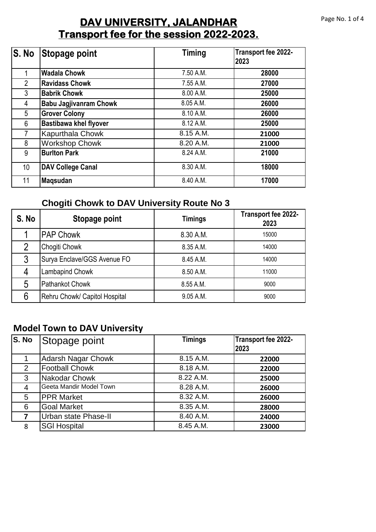### **Transport fee for the session 2022-2023. DAV UNIVERSITY, JALANDHAR**

| $\overline{\mathsf{S}}$ . No | Stopage point                 | <b>Timing</b> | Transport fee 2022-<br>2023 |
|------------------------------|-------------------------------|---------------|-----------------------------|
|                              | <b>Wadala Chowk</b>           | 7.50 A.M.     | 28000                       |
| $\overline{2}$               | <b>Ravidass Chowk</b>         | 7.55 A.M.     | 27000                       |
| 3                            | <b>Babrik Chowk</b>           | 8.00 A.M.     | 25000                       |
| 4                            | <b>Babu Jagjivanram Chowk</b> | 8.05 A.M.     | 26000                       |
| 5                            | <b>Grover Colony</b>          | 8.10 A.M.     | 26000                       |
| 6                            | <b>Bastibawa khel flyover</b> | 8.12 A.M.     | 25000                       |
| $\overline{7}$               | Kapurthala Chowk              | 8.15 A.M.     | 21000                       |
| 8                            | <b>Workshop Chowk</b>         | 8.20 A.M.     | 21000                       |
| 9                            | <b>Burlton Park</b>           | 8.24 A.M.     | 21000                       |
| 10 <sup>°</sup>              | <b>DAV College Canal</b>      | 8.30 A.M.     | 18000                       |
| 11                           | <b>Magsudan</b>               | 8.40 A.M.     | 17000                       |

### **Chogiti Chowk to DAV University Route No 3**

| S. No | <b>Stopage point</b>          | <b>Timings</b> | Transport fee 2022-<br>2023 |
|-------|-------------------------------|----------------|-----------------------------|
|       | <b>PAP Chowk</b>              | 8.30 A.M.      | 15000                       |
|       | Chogiti Chowk                 | 8.35 A.M.      | 14000                       |
| 3     | Surya Enclave/GGS Avenue FO   | 8.45 A.M.      | 14000                       |
| Δ     | Lambapind Chowk               | 8.50 A.M.      | 11000                       |
| 5     | <b>Pathankot Chowk</b>        | 8.55 A.M.      | 9000                        |
|       | Rehru Chowk/ Capitol Hospital | 9.05 A.M.      | 9000                        |

### **Model Town to DAV University**

| S. No          | Stopage point             | <b>Timings</b> | Transport fee 2022-<br>2023 |
|----------------|---------------------------|----------------|-----------------------------|
|                | <b>Adarsh Nagar Chowk</b> | 8.15 A.M.      | 22000                       |
| $\overline{2}$ | <b>Football Chowk</b>     | 8.18 A.M.      | 22000                       |
| 3              | Nakodar Chowk             | 8.22 A.M.      | 25000                       |
| $\overline{4}$ | Geeta Mandir Model Town   | 8.28 A.M.      | 26000                       |
| 5              | <b>PPR Market</b>         | 8.32 A.M.      | 26000                       |
| 6              | <b>Goal Market</b>        | 8.35 A.M.      | 28000                       |
| 7              | Urban state Phase-II      | 8.40 A.M.      | 24000                       |
| 8              | <b>SGI Hospital</b>       | 8.45 A.M.      | 23000                       |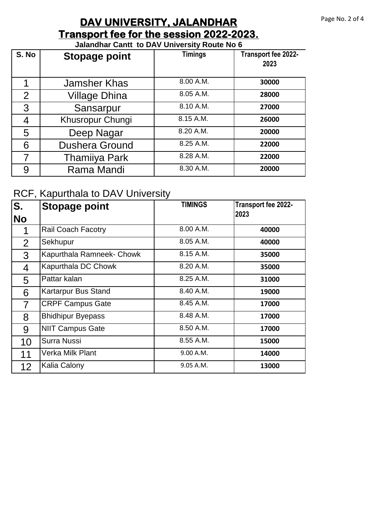# **Transport fee for the session 2022-2023. DAV UNIVERSITY, JALANDHAR**

#### **Jalandhar Cantt to DAV University Route No 6**

| S. No          | <b>Stopage point</b>  | <b>Timings</b> | Transport fee 2022-<br>2023 |
|----------------|-----------------------|----------------|-----------------------------|
|                | <b>Jamsher Khas</b>   | 8.00 A.M.      | 30000                       |
| $\overline{2}$ | <b>Village Dhina</b>  | 8.05 A.M.      | 28000                       |
| 3              | Sansarpur             | 8.10 A.M.      | 27000                       |
| 4              | Khusropur Chungi      | 8.15 A.M.      | 26000                       |
| 5              | Deep Nagar            | 8.20 A.M.      | 20000                       |
| 6              | <b>Dushera Ground</b> | 8.25 A.M.      | 22000                       |
|                | <b>Thamiiya Park</b>  | 8.28 A.M.      | 22000                       |
| 9              | Rama Mandi            | 8.30 A.M.      | 20000                       |

# RCF, Kapurthala to DAV University

| S.                | <b>Stopage point</b>      | <b>TIMINGS</b> | Transport fee 2022-<br>2023 |
|-------------------|---------------------------|----------------|-----------------------------|
| <b>No</b>         |                           |                |                             |
|                   | <b>Rail Coach Facotry</b> | 8.00 A.M.      | 40000                       |
| 2                 | Sekhupur                  | 8.05 A.M.      | 40000                       |
| 3                 | Kapurthala Ramneek- Chowk | 8.15 A.M.      | 35000                       |
| 4                 | Kapurthala DC Chowk       | 8.20 A.M.      | 35000                       |
| 5                 | Pattar kalan              | $8.25$ A.M.    | 31000                       |
| 6                 | Kartarpur Bus Stand       | 8.40 A.M.      | 19000                       |
| $\overline{7}$    | <b>CRPF Campus Gate</b>   | 8.45 A.M.      | 17000                       |
| 8                 | <b>Bhidhipur Byepass</b>  | 8.48 A.M.      | 17000                       |
| 9                 | <b>NIIT Campus Gate</b>   | 8.50 A.M.      | 17000                       |
| 10                | <b>Surra Nussi</b>        | 8.55 A.M.      | 15000                       |
| 11                | Verka Milk Plant          | 9.00 A.M.      | 14000                       |
| $12 \overline{ }$ | Kalia Calony              | 9.05 A.M.      | 13000                       |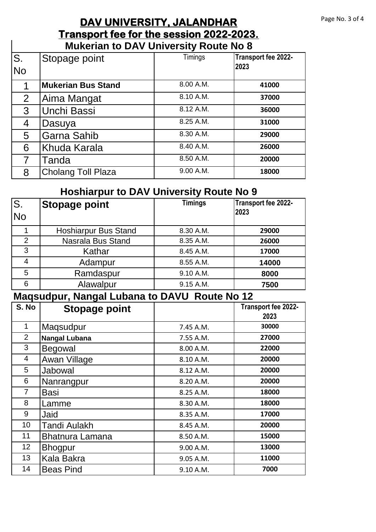### **Transport fee for the session 2022-2023. DAV UNIVERSITY, JALANDHAR Mukerian to DAV University Route No 8**

 $\overline{\phantom{a}}$ 

| $\overline{\mathsf{S}}$ .<br>No | Stopage point             | Timings   | Transport fee 2022-<br>2023 |
|---------------------------------|---------------------------|-----------|-----------------------------|
|                                 | <b>Mukerian Bus Stand</b> | 8.00 A.M. | 41000                       |
| 2                               | Aima Mangat               | 8.10 A.M. | 37000                       |
| 3                               | Unchi Bassi               | 8.12 A.M. | 36000                       |
| 4                               | Dasuya                    | 8.25 A.M. | 31000                       |
| 5                               | Garna Sahib               | 8.30 A.M. | 29000                       |
| 6                               | <b>Khuda Karala</b>       | 8.40 A.M. | 26000                       |
|                                 | Tanda                     | 8.50 A.M. | 20000                       |
| 8                               | <b>Cholang Toll Plaza</b> | 9.00 A.M. | 18000                       |

### **Hoshiarpur to DAV University Route No 9**

| S.<br><b>No</b> | <b>Stopage point</b>        | ◢<br><b>Timings</b> | Transport fee 2022-<br>2023 |
|-----------------|-----------------------------|---------------------|-----------------------------|
|                 | <b>Hoshiarpur Bus Stand</b> | 8.30 A.M.           | 29000                       |
| 2               | Nasrala Bus Stand           | 8.35 A.M.           | 26000                       |
| 3               | Kathar                      | 8.45 A.M.           | 17000                       |
| 4               | Adampur                     | 8.55 A.M.           | 14000                       |
| 5               | Ramdaspur                   | 9.10 A.M.           | 8000                        |
| 6               | Alawalpur                   | 9.15 A.M.           | 7500                        |

#### **Maqsudpur, Nangal Lubana to DAVU Route No 12**

| S. No          | <b>Stopage point</b>   |           | Transport fee 2022- |
|----------------|------------------------|-----------|---------------------|
|                |                        |           | 2023                |
| 1              | Maqsudpur              | 7.45 A.M. | 30000               |
| $\overline{2}$ | <b>Nangal Lubana</b>   | 7.55 A.M. | 27000               |
| 3              | <b>Begowal</b>         | 8.00 A.M. | 22000               |
| 4              | Awan Village           | 8.10 A.M. | 20000               |
| 5              | Jabowal                | 8.12 A.M. | 20000               |
| 6              | Nanrangpur             | 8.20 A.M. | 20000               |
| 7              | <b>Basi</b>            | 8.25 A.M. | 18000               |
| 8              | Lamme                  | 8.30 A.M. | 18000               |
| 9              | Jaid                   | 8.35 A.M. | 17000               |
| 10             | <b>Tandi Aulakh</b>    | 8.45 A.M. | 20000               |
| 11             | <b>Bhatnura Lamana</b> | 8.50 A.M. | 15000               |
| 12             | <b>Bhogpur</b>         | 9.00 A.M. | 13000               |
| 13             | Kala Bakra             | 9.05 A.M. | 11000               |
| 14             | <b>Beas Pind</b>       | 9.10 A.M. | 7000                |